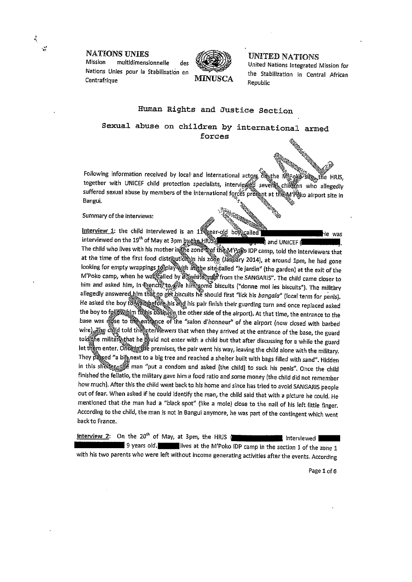**NATIONS UNIES** 

multidimensionnelle Mission des Nations Unies pour la Stabilisation en Centrafrique



**MINUSCA** 

## UNITED NATIONS

United Nations Integrated Mission for the Stabilization in Central African Republic

## Human Rights and Justice Section

Sexual abuse on children by international armed forces

Following information received by local and international actors of the Migole esia.<br>Chiadh the HRJS. together with UNICEF child protection specialists, interviewed several children who allegedly suffered sexual abuse by members of the international forces present at the M'relo airport site in Bangui.

Summary of the interviews:

Interview 1: the child interviewed is an 11 each boys called he was interviewed on the 19<sup>th</sup> of May at 3pm by the HRJS3 and UNICEF ( The child who lives with his mother in the zone that the M'Pole IDP camp, told the interviewers that at the time of the first food distribution is zone (January 2014), at around 1pm, he had gone looking for empty wrappings to play with a stected sled "le jardin" (the garden) at the exit of the M'Poko camp, when he was called by a white main from the SANGARIS". The child came closer to him and asked him, in teench to give him some biscuits ("donne moi les biscuits"). The military allegedly answered him that to get biscuits he should first "lick his bangala" (local term for penis). He asked the boy to waitabefore his and his pair finish their guarding turn and once replaced asked the boy to follow him to his base (en the other side of the airport). At that time, the entrance to the base was dose to the entrance of the "salon d'honneur" of the airport (now closed with barbed wire) Fig. citing the unit when they arrived at the entrance of the base, the guard told the military that he gould not enter with a child but that after discussing for a while the guard let them enter. Once justice premises, the pair went his way, leaving the child alone with the military. They passed "a bij next to a big tree and reached a shelter built with bags filled with sand". Hidden in this shellengthe man "put a condom and asked [the child] to suck his penis". Once the child finished the fellatio, the military gave him a food ratio and some money (the child did not remember how much). After this the child went back to his home and since has tried to avoid SANGARIS people out of fear. When asked if he could identify the man, the child said that with a picture he could. He mentioned that the man had a "black spot" (like a mole) close to the nail of his left little finger. According to the child, the man is not in Bangui anymore, he was part of the contingent which went back to France.

Interview 2: On the 20<sup>th</sup> of May, at 3pm, the HRJS ( interviewed 9 years old. I lives at the M'Poko IDP camp in the section 1 of the zone 1 with his two parents who were left without income generating activities after the events. According

Page 1 of 6

 $\epsilon_i$ 

نې<br>چې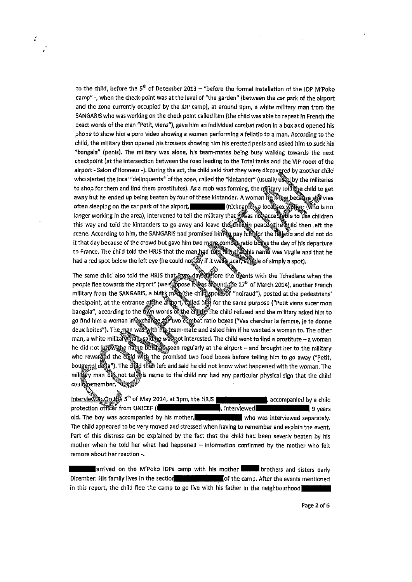to the child, before the  $5<sup>th</sup>$  of December 2013 – "before the formal installation of the IDP M'Poko camp"-, when the check-point was at the levai of "the garden" (betweeri the car park of the airport and the zone currently occupied by the IDP camp), at around 9pm, a white military man from the SANGARIS who was working on the check point caliecl him (the chiid was able ta repeat in French the exact words cf the man "Petit, viens"), gave him an individual combat ration in <sup>a</sup> box and opened his phone to show him a porn video showing a woman performing a fellatio to a man. According to the chiid, the military then apened his trousers showing him his erected penis anti asked him ta suck his "bangala" (penis). The military was alone, his team-mates being busy walking towards the next checkpoint (at the intersection between the road leading to the Total tanks and the VIP room of the airport - Salon d'Honneur -). During the act, the child said that they were discovgred by another child who alerted the local "delinquents" of the zone, called the "kintander" (usually used by the militaries to shop for them and find them prostitutes). As a mob was forming, the nilitary told the child to get away but ha ended up being beaten by four cf these kintander. often sleeping on the car park of the airport, (nickname) a localisex worker (who is no bottomal installation of the IDP M'Poke<br>(between the car park of the alrpor<br>Ppm, a white military man from the<br>hild was able to repeat in French the<br>mbat ration In a box and opened his<br>a fellatio to a man. According to the Final to show into a perfinite showing a woman is a relation of small acted the military then opened his trousers showing him his erected penis and asked him to suck his "bangala" (penis). The military was alone, his teamthis way and told the kintanders to go away and leave the child in peace wine then left the scene. According to him, the SANGARIS had promised him to pay him for the fallatio and did not do it that day because of the crowd but gave him two mare combat ratio boxes the day of his departure to France. The child told the HRJS that the man had to this that had he was Virgile and that he had a red spot below the left eye (he could not say if it was seen and simply a spot).

The same child also told the HRJS that  $\ell_{\rm WQ}$  days if fore the apents with the Tchadians when the people flee towards the airport" (we suppose it was alound the 27<sup>th</sup> of March 2014), another French military from the SANGARIS, a black mare the chiff spoke of "noiraud"), posted at the pedestrians' checkpoint, at the entrance of the allegent, walled him for the same purpose ("Petit viens sucer mon bangala", according to the two words of the child \*\* The child refused and the military asked him to scene. According to him, the SANGARIS had promised himite pay himstor the fightio and did not dividend that day because of the crowd but gave him two mere combine thing the day of his departure to France. The child told th deux boites"). The man was with Ma team-mate and asked him if he wanted a woman to. The other man, a white military (প্ৰিয়<sub>): চি</sub>য়ে আইয়াত manterested. The child went to find a prostitute — a woman people flee towards the airport" (we suppose it was argund the 27" of March 2014), another French<br>military from the SANGARIS, a black man, the child spoke of "nolraud"), posted at the pedestrians<br>checkpoint, at the entranc who rewarded the child with the promised two food boxes before telling him to go away ("Petit, bouge to de a"). The citild then left and said he did not know what happened with the woman. The military man dig not tell his name to the child nor had any particular physical sign that the child<br>could remember. coule remember,

 $intervie\hat{W}3_{4}$  On  $H^{43}_{12}$  S<sup>th</sup> of May 2014, at 3pm, the HRJS **accompanies by a child** protection officer from UNICEF (1, etc., material protection of the gyears) gyears old. The boy was accompanied by his mother, who was interviewed separately. The child appeared to be very moved and stressed when having to remember and explain the event. Part of this distress can be explained by the fact that the child had been severly beaten by his mother when he told her what had happened  $-$  information confirmed by the mother who felt remore about her reaction -.

arrived on the M'Poko IDPs camp with his mother **brothers** and sisters early Dicember. His family lives in the section complex to the camp. After the events mentioned in this report, the child flee the camp to go live with his father in the neighbourhood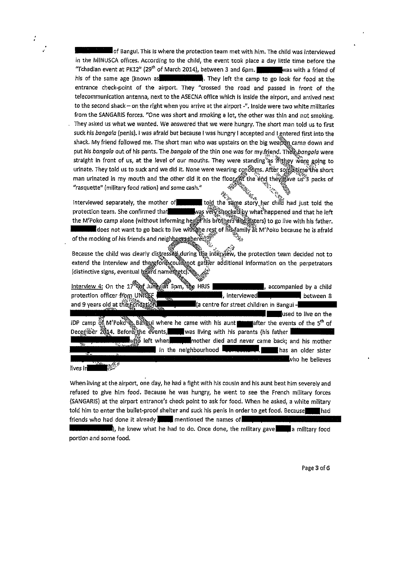of Bangui. This is where the protection team met with him. The child was interviewed in the MINUSCA offices. According to the child, the event took place a day little time before the "Tchadian event at PK12"  $(29<sup>th</sup>$  of March 2014), between 3 and 6pm. was with a friend of bis cf the sanie age (known as ,. They ieft the camp ta go look for food at the entrance check-point cf the airport. They "crossed the road and passed in front cf the telecommunication antenna, next to the ASECNA office which is inside the airport, and arrived next ta the second shack — on the right when you arrive at the airpart -". Inside were twa white militarles from the SANGARIS forces. "One was short and smoking a lot, the other was thin and not smoking. They asked us what we wanted. We answered that we were hungry. The short man toid us to first suck his bangala (penis). I was afraid but because I was hungry I accepted and I entered first into the shack. My friend followed me. The short man who was upstairs on the big weapon came down and put his bangala out of his pants. The bangala of the thin one was for my friend. The bangala were straight in front of us, at the level of our mouths. They were standing as if they were going to urinate. They told us to suck and we did it. None were wearing condems. After some the short mari urinated in my mouth and the other dIcl It on the fIoo'the'~f~qth&~ave ui~ packs cf "rasquette" (mllitary food ration) and same cash." ~ '4

لَّهُ يَسْبَعُونَ مِنْ يَسْبَعُونَ بِيَّةٍ بِيِّنَ بِيِّنَ بِيِّنِ بِيِّنِ بِيِّنِ بِيِّنِ الْمَاسَةِ Interviewed separately, the mother of the same told the protection team. She confirmed that www.was very shocked by what happened and that he left traight in front of us, at the level of our mouths. They were standing as if they were going to urinate. They told us to suck and we did it. None were wearing condumns. After sometime (the unit and in my mouth and the othe does not want to go back to live with the rest of his family at M'Poko because he is afraid "rasquette" (military food ration) and some cash."<br>
Interviewed separately, the mother of the mother in told the same story her child had just told the<br>
protection team. She confirmed that<br>
the mother is confirmed that<br>
t external that the M'Poko camp alone (without informing here of his brothers diagnosis) to go live with his father<br>the M'Poko camp alone (without informing here of his brothers diagnosity at M'Poko because he is a<br>fraction

Because the child was clearly distressed during tize interview, the protection team decided not to extend the interview and therefore could not gather additional information on the perpetrators (distinctive signs, eventual beard namely etc.

 $line$  interview 4: On the  $17^{\circ}$  by Julian states in  $\mathbb{R}$  HRIS  $\blacksquare$ , accompanied by a child protection officer from UNICEF  $\bullet$ ,  $\bullet$   $\bullet$ ,  $\bullet$  •, interviewed between a between a Because the child was clearly distressed during the interview, the protection team<br>extend the interview and thenchology could not gather additional information on the<br>distinctive signs, eventual heard names are street chi used to Ive on the Because the child was clearly distributed extend the interview and therefore could be a child and the second bis auntafter additional information on the perpetrators (distinctive signs, eventual beam of a companied by a c DP camp of M'Poko in Bangui where he came with his aunt after the every little with bis parents (his father when mother died and never came back; and his mother in the neighbourhood  $\Box$  $\Box$  $\Box$  has an older sister who he believes

When living at the airport, one day, he had a fight with his cousin and his aunt beat him severely and refused to give him food. Because he was hungry, he went to see the French military forces (SANGARIS) at the airport entrance's check point to ask for food. When he asked, a white military told him to enter the builet-proof shelter and suck his penis in order to get food. Because had friends who had done it already **mentioned** the names of

lives in

), he knew what he had to do. Once done, the military gave a military food portion and some food.

Page 3 of 6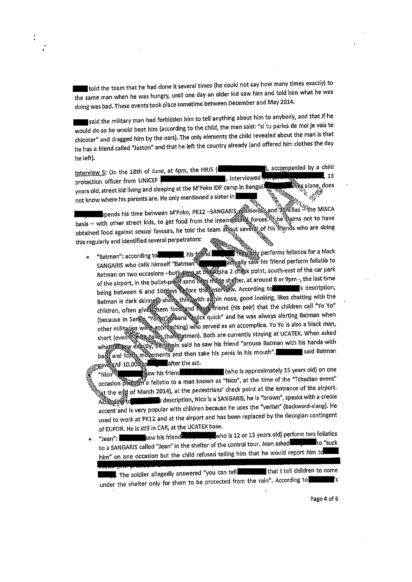told the team that he had done it several times (he could not say how many times exactly) to the same man when he was hungry, until one day an older kid saw him and told him what he was doing was bad. These events took place sometime between December and May 2014.

said the military man had forbidden him to tell anything about him to anybody, and that if he would do so he would beat him (according to the child, the man said: "si tu parles de moi je vais te chicoter" and dragged him by the ears). The only elements the child revealed about the man is that he has a friend called "Jaston" and that he left the country already (and offered him clothes the day he Ieft).

Interview 5: On the 18th of June, at 4pm, the HRJS ( $\frac{1}{2}$ , interviewed  $\frac{1}{2}$ , accompanied by a child protection officer from UNICEF protection officer from UNICEF <del>(Machine 13) and the UNICEF</del> 13 metric 13 metric 13 metric 13 meters 13 meters 13 meters 13 meters 13 meters 13 meters 13 meters 13 meters 13 meters 13 meters 13 meters 13 meters 13 meters 1 years old, street kid living and sleeping at the M'Poko IDP camp in Bangui  $\frac{1}{\sqrt{2}}$  ,  $\frac{1}{\sqrt{2}}$  ,  $\frac{1}{\sqrt{2}}$ 

not know where his parents are. He only mentioned a sister in **the company of the company of the company of the c**<br>In the second spends his time between M'Poko, PK12 -SANGARIS productions and 3GWillas - pends his time between M'Poko, PK12 ~SANGARIS positions and successive and the MISCARICA property of MISCARI<br>The MISCARICA of MISCARICA property in the marital have  $\frac{1}{2}$ basis — with other street kids, to get food from the international  $\frac{1}{2}$  of  $\frac{1}{2}$  who are doing basis – with other street kids, to get food from the international forces. the thems not to have<br>obtained food against sexual favours, he told the team about several of his friends who are doing this regularly and identifled several perpetrators:,~ e mei<br>eam al<br>**Alle** am albout seven<br>am albout seven<br>**Albour** resul

o "Batman": according to the strict of the strict of the setting of the same methods for a black of the same fellatio<br>SANGARIS who calls himself "Batman": strict of the same perform fellatio to  $SANGARIS$  who calls himself "Batman<sup>ne</sup>  $\frac{1}{2}$  same acting fly saw his friend perform feilative to  $Batman$  on two occasions  $-both_{st}$  impact the support  $2$  change point, south-east of the car park of the airport, in the builet-preef sand begs made shelter, at around 8 or 9pm -, the last time<br>being between 6 and 10 tlays the fore this interview. According to being between 6 and 10  $\frac{1}{2}$  term  $\frac{1}{2}$ . According to  $\frac{1}{2}$  is description,  $Batman$  is dark skinned) short thing with a  $\frac{1}{2}$  nose, good looking, likes chatting with the set children, often givé them food and the offriend (his pair) that the children call "Yo Yo"<br>(because in Sange "Yo Yo" feans Quick quick" and he was always alerting Batman when With other and the second and the team all the team all the this impediate whole are doing<br>
"Batman": according to the team all the team all the second in the second part of the signal several perpetrators:<br>
"Batman": acco other militaries were approaching) who served as an accomplice. Yo Yo is also a black man, short (even  $\mathbb{Q}^{\text{max}}$  if  $\mathbb{Q}^{\text{max}}$  if  $\mathbb{Q}^{\text{max}}$  if  $\mathbb{Q}^{\text{max}}$  asked what the exactly, Berligmin said he saw his friend "arouse Batman with his hands with with with with with the saw in said Batman with the saw in the mouth of the same said Batman ba $^{67}_{98}$  and forth movements and then take his penis in his mouth".

 $\frac{1}{2}$ gav $\frac{1}{2}$ AF 10.000 $\frac{1}{2}$  after the act.  $\frac{m}{\sqrt{m}}$  is  $\frac{m}{\sqrt{m}}$  and  $\frac{m}{\sqrt{m}}$  is the maximum on  $\frac{m}{\sqrt{m}}$  years of  $\frac{m}{\sqrt{m}}$  is  $\frac{m}{\sqrt{m}}$  on  $\frac{m}{\sqrt{m}}$  $\alpha$  ccasion  $\beta$  and  $\beta$  fellatio to a man known as "Nico", et the time of the  $\beta$  file  $\beta$  $^{*}$  at the end of March 2014), at the pedestrians' check point at the entrance of the airport.<br>Actionalistic contract in the sessetiption, Nico is a SANGARIS, he is "brown", speaks with a creole — description, Nico is <sup>e</sup> SANGARIS, ha is "brown", speaks wlth <sup>a</sup> creoie accent and is very popular with children because he uses the "verlan" (backward-siangle-siangle-siangle-siangleused to work at PK12 and at the airport and has been replaced by the Georgian contingent of EUFOR. He is still in CAR, at the UCATEX base.<br>"Joan": www.wasterness.web.international wholes 12 or 13 years old) perform two fellatios

 $\bullet$  "Jean":  $\bullet$  saw his friend  $\bullet$  who is 12 or 13 years old) performance features for  $\bullet$ to a SANGARIS called "Jean" in the shelter or the control tour. Jean asked , the set the sucker of the success him" on one occasion but the child refused telling him that he would report him to

 $\blacksquare$  The soldier allegedly answered "you can tell The soldier allegedly answered "you can tell that I that I can take the children take  $\sim$ under the sheiter only for them to be protected from the ram  $\ldots$  secondly  $\ldots$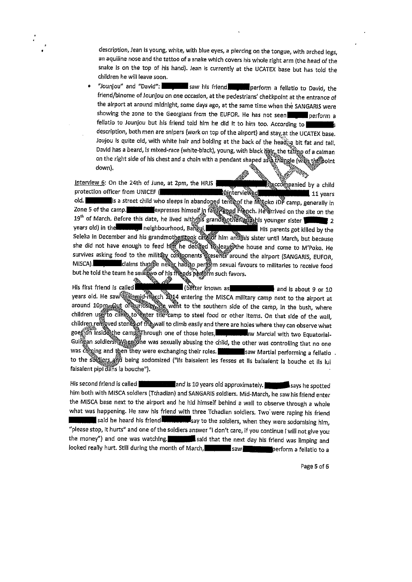description, Jean is young, white, with blue eyes, a piercing on the tongue, with arched legs, an aquiline nose and the tattoo of a snake which covers his whole right arm (the head of the snake is on the top cf his hand). Jean is currentiy at the UCATEX base but has told the children he will leave soon.

"Jounjou" and "David": saw his friend perform a fellatio to David, the friend/binome of Jounjou on one occasion, at the pedestrians' checkpoint at the entrance of the airport at around midnight, some days ago, at the same time when the SANGARIS were showing the zone to the Georgians from the EUFOR. He has not seen perform a fellatio to Jounjou but his friend told him he did it to him too. According to description, both men are snlpers (work on top cf the airport) and stay,at the UCATEX base. Joujou is quite old, with white hair and bolding at the back of the head $\hat{a}$  bit fat and tall. David has a beard, is mixed-race (white-black), young, with black  $\frac{m}{2}$  the tattage of a caiman description, both men are snipers (work on top of the airport) and stay at the UCATEX base<br>Joujou is quite oid, with white hair and bolding at the back of the head;<br>David has a beard, is mixed-race (white-black), young, wi

Recompanied by a child Interview 6: On the 24th of June, at 2pm, the HRJS protection officer from UNICEF ( - terminal manufacture 11 years 11 years old. **is a street child who sleeps in abandoned ten thangle the Megoko IDP camp, generally in** Zone 5 of the camp. **EXPRESS** expresses himself in fail regad Franch. He arrived on the site on the  $19<sup>th</sup>$  of March, Before this date, he lived with the grandapother and this younger sister  $2$  years old) in the compact neighbourhood, Bangyi, and the compact list parents got killed by the years old) in the **wall and neighbourhood, Bailgui**, Seleka in December and his grandmother rock categor him and this sister until March, but because she did not have enough to feed htm he declined to leave the house and come to M'Poko. He survives asking food to the military coffigonents presents around the airport (SANGARIS, EUFOR, MISCA). Claims that the never had to perform sexual favours to militaries to receive food but he told the team he saw wo of his fliends perform such favors. is that the never hading<br>'sawiwo of his friends<br>A zone 5 of the camp.<br>
19<sup>th</sup> of March, Before this date, he lived with this granding the against younger sister<br>
19th of March, Before this date, he lived with this granding the angular six over sister will be the<br>
Seleka i

His first friend is called **and a set of the set of the case of the set of the set of the set of the set of 10**<br>years old. He saw the princh reset of 2014 entering the MISCA military camp next to the airport at around 10pm. Out of wirdsity, the went to the southern side of the camp, in the bush, where children use to climb to enter the camp to steel food or other items. On that side of the wall, children rempved stones of the wall to climb easily and there are holes where they can observe what goe∯on insidesthe camp Through one of those holes, **- 4. And the law** Marcial with two Equatorial-Guingan soldiers When one was sexually abusing the child, the other was controlling that no one was coming and then they were exchanging their roles. saw Martial performing a fellatio to the soldiers and being sodomized ("Ils baisaient les fesses et ils baisaient la bouche et ils lui faisaient pipi dans la bouche").

His second friend is called **and Is 10** years old approximately. **Figure 18** says he spotted him both with MISCA soldiers (Tchadian) and SANGARIS soldiers. Mid-March, he saw his friend enter the MISCA base next to the airport and he hid himself behind a wall to observe through a whole what was happening. He saw his friend with three Tchadian soldiers. Two were raping his friend said he heard his friend **..............**... say to the soldiers, when they were sodomising him, "please stop, it hurts" and one of the soldiers answer "I don't care, if you continue I will not give you the money") and one was watching. **The manufacture of that the next day his friend was limping and** looked really hurt. Still during the month of March, saw saw saw perform a fellatio to a

Page 5 of 6